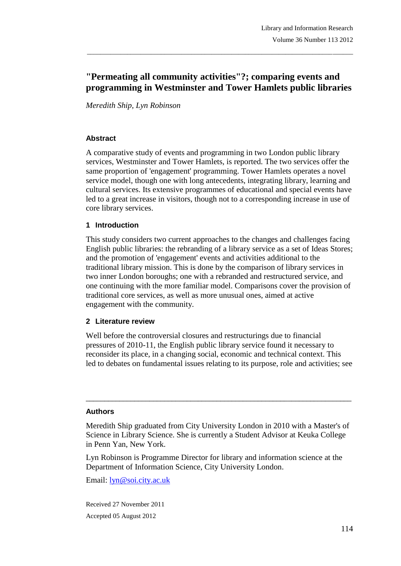# **"Permeating all community activities"?; comparing events and programming in Westminster and Tower Hamlets public libraries**

\_\_\_\_\_\_\_\_\_\_\_\_\_\_\_\_\_\_\_\_\_\_\_\_\_\_\_\_\_\_\_\_\_\_\_\_\_\_\_\_\_\_\_\_\_\_\_\_\_\_\_\_\_\_\_\_\_\_\_\_\_\_\_\_\_\_\_\_\_\_\_\_\_\_\_\_\_\_\_

*Meredith Ship, Lyn Robinson*

### **Abstract**

A comparative study of events and programming in two London public library services, Westminster and Tower Hamlets, is reported. The two services offer the same proportion of 'engagement' programming. Tower Hamlets operates a novel service model, though one with long antecedents, integrating library, learning and cultural services. Its extensive programmes of educational and special events have led to a great increase in visitors, though not to a corresponding increase in use of core library services.

#### **1 Introduction**

This study considers two current approaches to the changes and challenges facing English public libraries: the rebranding of a library service as a set of Ideas Stores; and the promotion of 'engagement' events and activities additional to the traditional library mission. This is done by the comparison of library services in two inner London boroughs; one with a rebranded and restructured service, and one continuing with the more familiar model. Comparisons cover the provision of traditional core services, as well as more unusual ones, aimed at active engagement with the community.

### **2 Literature review**

Well before the controversial closures and restructurings due to financial pressures of 2010-11, the English public library service found it necessary to reconsider its place, in a changing social, economic and technical context. This led to debates on fundamental issues relating to its purpose, role and activities; see

#### **Authors**

Meredith Ship graduated from City University London in 2010 with a Master's of Science in Library Science. She is currently a Student Advisor at Keuka College in Penn Yan, New York.

\_\_\_\_\_\_\_\_\_\_\_\_\_\_\_\_\_\_\_\_\_\_\_\_\_\_\_\_\_\_\_\_\_\_\_\_\_\_\_\_\_\_\_\_\_\_\_\_\_\_\_\_\_\_\_\_\_\_\_\_\_\_\_\_\_\_\_\_\_\_\_

Lyn Robinson is Programme Director for library and information science at the Department of Information Science, City University London.

Email: <u>lyn@soi.city.ac.uk</u>

Received 27 November 2011 Accepted 05 August 2012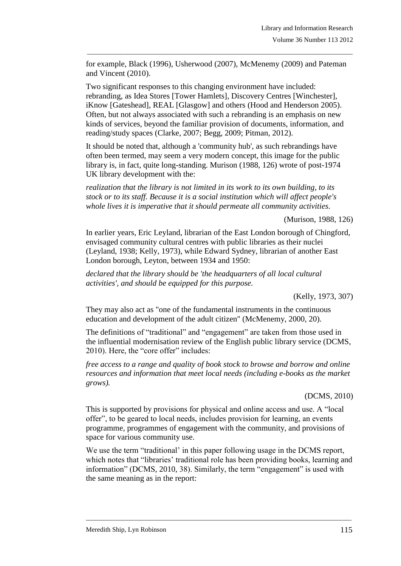for example, Black (1996), Usherwood (2007), McMenemy (2009) and Pateman and Vincent (2010).

\_\_\_\_\_\_\_\_\_\_\_\_\_\_\_\_\_\_\_\_\_\_\_\_\_\_\_\_\_\_\_\_\_\_\_\_\_\_\_\_\_\_\_\_\_\_\_\_\_\_\_\_\_\_\_\_\_\_\_\_\_\_\_\_\_\_\_\_\_\_\_\_\_\_\_\_\_\_\_

Two significant responses to this changing environment have included: rebranding, as Idea Stores [Tower Hamlets], Discovery Centres [Winchester], iKnow [Gateshead], REAL [Glasgow] and others (Hood and Henderson 2005). Often, but not always associated with such a rebranding is an emphasis on new kinds of services, beyond the familiar provision of documents, information, and reading/study spaces (Clarke, 2007; Begg, 2009; Pitman, 2012).

It should be noted that, although a 'community hub', as such rebrandings have often been termed, may seem a very modern concept, this image for the public library is, in fact, quite long-standing. Murison (1988, 126) wrote of post-1974 UK library development with the:

*realization that the library is not limited in its work to its own building, to its stock or to its staff. Because it is a social institution which will affect people's whole lives it is imperative that it should permeate all community activities.*

#### (Murison, 1988, 126)

In earlier years, Eric Leyland, librarian of the East London borough of Chingford, envisaged community cultural centres with public libraries as their nuclei (Leyland, 1938; Kelly, 1973), while Edward Sydney, librarian of another East London borough, Leyton, between 1934 and 1950:

*declared that the library should be 'the headquarters of all local cultural activities', and should be equipped for this purpose.*

(Kelly, 1973, 307)

They may also act as "one of the fundamental instruments in the continuous education and development of the adult citizen" (McMenemy, 2000, 20).

The definitions of "traditional" and "engagement" are taken from those used in the influential modernisation review of the English public library service (DCMS, 2010). Here, the "core offer" includes:

*free access to a range and quality of book stock to browse and borrow and online resources and information that meet local needs (including e-books as the market grows).*

(DCMS, 2010)

This is supported by provisions for physical and online access and use. A "local offer", to be geared to local needs, includes provision for learning, an events programme, programmes of engagement with the community, and provisions of space for various community use.

We use the term "traditional' in this paper following usage in the DCMS report, which notes that "libraries' traditional role has been providing books, learning and information" (DCMS, 2010, 38). Similarly, the term "engagement" is used with the same meaning as in the report: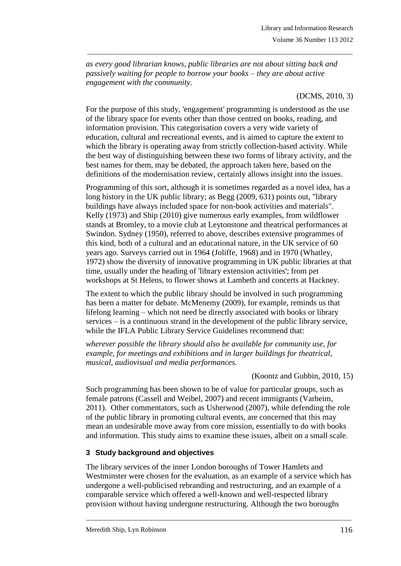*as every good librarian knows, public libraries are not about sitting back and passively waiting for people to borrow your books – they are about active engagement with the community.*

\_\_\_\_\_\_\_\_\_\_\_\_\_\_\_\_\_\_\_\_\_\_\_\_\_\_\_\_\_\_\_\_\_\_\_\_\_\_\_\_\_\_\_\_\_\_\_\_\_\_\_\_\_\_\_\_\_\_\_\_\_\_\_\_\_\_\_\_\_\_\_\_\_\_\_\_\_\_\_

## (DCMS, 2010, 3)

For the purpose of this study, 'engagement' programming is understood as the use of the library space for events other than those centred on books, reading, and information provision. This categorisation covers a very wide variety of education, cultural and recreational events, and is aimed to capture the extent to which the library is operating away from strictly collection-based activity. While the best way of distinguishing between these two forms of library activity, and the best names for them, may be debated, the approach taken here, based on the definitions of the modernisation review, certainly allows insight into the issues.

Programming of this sort, although it is sometimes regarded as a novel idea, has a long history in the UK public library; as Begg (2009, 631) points out, "library buildings have always included space for non-book activities and materials". Kelly (1973) and Ship (2010) give numerous early examples, from wildflower stands at Bromley, to a movie club at Leytonstone and theatrical performances at Swindon. Sydney (1950), referred to above, describes extensive programmes of this kind, both of a cultural and an educational nature, in the UK service of 60 years ago. Surveys carried out in 1964 (Joliffe, 1968) and in 1970 (Whatley, 1972) show the diversity of innovative programming in UK public libraries at that time, usually under the heading of 'library extension activities'; from pet workshops at St Helens, to flower shows at Lambeth and concerts at Hackney.

The extent to which the public library should be involved in such programming has been a matter for debate. McMenemy (2009), for example, reminds us that lifelong learning – which not need be directly associated with books or library services – is a continuous strand in the development of the public library service, while the IFLA Public Library Service Guidelines recommend that:

*wherever possible the library should also be available for community use, for example, for meetings and exhibitions and in larger buildings for theatrical, musical, audiovisual and media performances.*

### (Koontz and Gubbin, 2010, 15)

Such programming has been shown to be of value for particular groups, such as female patrons (Cassell and Weibel, 2007) and recent immigrants (Varheim, 2011). Other commentators, such as Usherwood (2007), while defending the role of the public library in promoting cultural events, are concerned that this may mean an undesirable move away from core mission, essentially to do with books and information. This study aims to examine these issues, albeit on a small scale.

### **3 Study background and objectives**

The library services of the inner London boroughs of Tower Hamlets and Westminster were chosen for the evaluation, as an example of a service which has undergone a well-publicised rebranding and restructuring, and an example of a comparable service which offered a well-known and well-respected library provision without having undergone restructuring. Although the two boroughs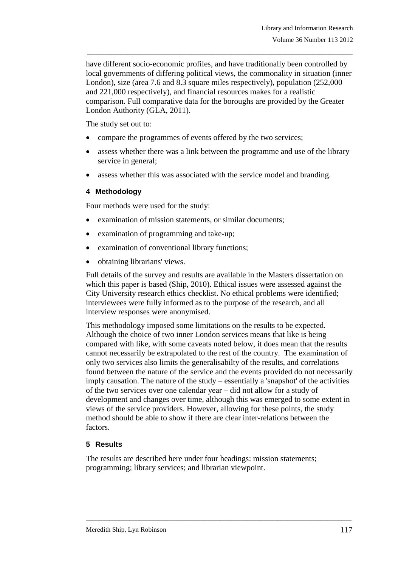have different socio-economic profiles, and have traditionally been controlled by local governments of differing political views, the commonality in situation (inner London), size (area 7.6 and 8.3 square miles respectively), population (252,000 and 221,000 respectively), and financial resources makes for a realistic comparison. Full comparative data for the boroughs are provided by the Greater London Authority (GLA, 2011).

\_\_\_\_\_\_\_\_\_\_\_\_\_\_\_\_\_\_\_\_\_\_\_\_\_\_\_\_\_\_\_\_\_\_\_\_\_\_\_\_\_\_\_\_\_\_\_\_\_\_\_\_\_\_\_\_\_\_\_\_\_\_\_\_\_\_\_\_\_\_\_\_\_\_\_\_\_\_\_

The study set out to:

- compare the programmes of events offered by the two services;
- assess whether there was a link between the programme and use of the library service in general;
- assess whether this was associated with the service model and branding.

### **4 Methodology**

Four methods were used for the study:

- examination of mission statements, or similar documents;
- examination of programming and take-up;
- examination of conventional library functions;
- obtaining librarians' views.

Full details of the survey and results are available in the Masters dissertation on which this paper is based (Ship, 2010). Ethical issues were assessed against the City University research ethics checklist. No ethical problems were identified; interviewees were fully informed as to the purpose of the research, and all interview responses were anonymised.

This methodology imposed some limitations on the results to be expected. Although the choice of two inner London services means that like is being compared with like, with some caveats noted below, it does mean that the results cannot necessarily be extrapolated to the rest of the country. The examination of only two services also limits the generalisabilty of the results, and correlations found between the nature of the service and the events provided do not necessarily imply causation. The nature of the study – essentially a 'snapshot' of the activities of the two services over one calendar year – did not allow for a study of development and changes over time, although this was emerged to some extent in views of the service providers. However, allowing for these points, the study method should be able to show if there are clear inter-relations between the factors.

### **5 Results**

The results are described here under four headings: mission statements; programming; library services; and librarian viewpoint.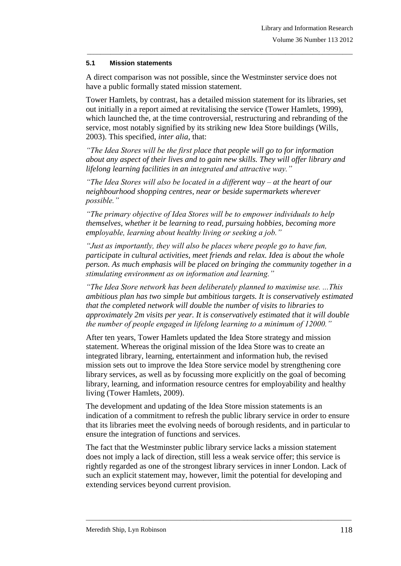#### **5.1 Mission statements**

A direct comparison was not possible, since the Westminster service does not have a public formally stated mission statement.

\_\_\_\_\_\_\_\_\_\_\_\_\_\_\_\_\_\_\_\_\_\_\_\_\_\_\_\_\_\_\_\_\_\_\_\_\_\_\_\_\_\_\_\_\_\_\_\_\_\_\_\_\_\_\_\_\_\_\_\_\_\_\_\_\_\_\_\_\_\_\_\_\_\_\_\_\_\_\_

Tower Hamlets, by contrast, has a detailed mission statement for its libraries, set out initially in a report aimed at revitalising the service (Tower Hamlets, 1999), which launched the, at the time controversial, restructuring and rebranding of the service, most notably signified by its striking new Idea Store buildings (Wills, 2003). This specified, *inter alia*, that:

*"The Idea Stores will be the first place that people will go to for information about any aspect of their lives and to gain new skills. They will offer library and lifelong learning facilities in an integrated and attractive way."*

*"The Idea Stores will also be located in a different way – at the heart of our neighbourhood shopping centres, near or beside supermarkets wherever possible."* 

*"The primary objective of Idea Stores will be to empower individuals to help themselves, whether it be learning to read, pursuing hobbies, becoming more employable, learning about healthy living or seeking a job."* 

*"Just as importantly, they will also be places where people go to have fun, participate in cultural activities, meet friends and relax. Idea is about the whole person. As much emphasis will be placed on bringing the community together in a stimulating environment as on information and learning."* 

*"The Idea Store network has been deliberately planned to maximise use. ...This ambitious plan has two simple but ambitious targets. It is conservatively estimated that the completed network will double the number of visits to libraries to approximately 2m visits per year. It is conservatively estimated that it will double the number of people engaged in lifelong learning to a minimum of 12000."* 

After ten years, Tower Hamlets updated the Idea Store strategy and mission statement. Whereas the original mission of the Idea Store was to create an integrated library, learning, entertainment and information hub, the revised mission sets out to improve the Idea Store service model by strengthening core library services, as well as by focussing more explicitly on the goal of becoming library, learning, and information resource centres for employability and healthy living (Tower Hamlets, 2009).

The development and updating of the Idea Store mission statements is an indication of a commitment to refresh the public library service in order to ensure that its libraries meet the evolving needs of borough residents, and in particular to ensure the integration of functions and services.

The fact that the Westminster public library service lacks a mission statement does not imply a lack of direction, still less a weak service offer; this service is rightly regarded as one of the strongest library services in inner London. Lack of such an explicit statement may, however, limit the potential for developing and extending services beyond current provision.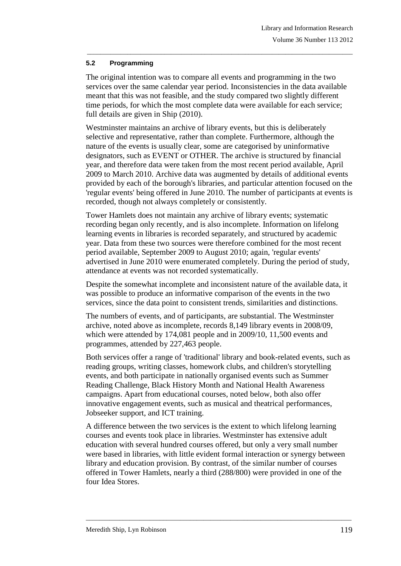### **5.2 Programming**

The original intention was to compare all events and programming in the two services over the same calendar year period. Inconsistencies in the data available meant that this was not feasible, and the study compared two slightly different time periods, for which the most complete data were available for each service; full details are given in Ship (2010).

\_\_\_\_\_\_\_\_\_\_\_\_\_\_\_\_\_\_\_\_\_\_\_\_\_\_\_\_\_\_\_\_\_\_\_\_\_\_\_\_\_\_\_\_\_\_\_\_\_\_\_\_\_\_\_\_\_\_\_\_\_\_\_\_\_\_\_\_\_\_\_\_\_\_\_\_\_\_\_

Westminster maintains an archive of library events, but this is deliberately selective and representative, rather than complete. Furthermore, although the nature of the events is usually clear, some are categorised by uninformative designators, such as EVENT or OTHER. The archive is structured by financial year, and therefore data were taken from the most recent period available, April 2009 to March 2010. Archive data was augmented by details of additional events provided by each of the borough's libraries, and particular attention focused on the 'regular events' being offered in June 2010. The number of participants at events is recorded, though not always completely or consistently.

Tower Hamlets does not maintain any archive of library events; systematic recording began only recently, and is also incomplete. Information on lifelong learning events in libraries is recorded separately, and structured by academic year. Data from these two sources were therefore combined for the most recent period available, September 2009 to August 2010; again, 'regular events' advertised in June 2010 were enumerated completely. During the period of study, attendance at events was not recorded systematically.

Despite the somewhat incomplete and inconsistent nature of the available data, it was possible to produce an informative comparison of the events in the two services, since the data point to consistent trends, similarities and distinctions.

The numbers of events, and of participants, are substantial. The Westminster archive, noted above as incomplete, records 8,149 library events in 2008/09, which were attended by 174,081 people and in 2009/10, 11,500 events and programmes, attended by 227,463 people.

Both services offer a range of 'traditional' library and book-related events, such as reading groups, writing classes, homework clubs, and children's storytelling events, and both participate in nationally organised events such as Summer Reading Challenge, Black History Month and National Health Awareness campaigns. Apart from educational courses, noted below, both also offer innovative engagement events, such as musical and theatrical performances, Jobseeker support, and ICT training.

A difference between the two services is the extent to which lifelong learning courses and events took place in libraries. Westminster has extensive adult education with several hundred courses offered, but only a very small number were based in libraries, with little evident formal interaction or synergy between library and education provision. By contrast, of the similar number of courses offered in Tower Hamlets, nearly a third (288/800) were provided in one of the four Idea Stores.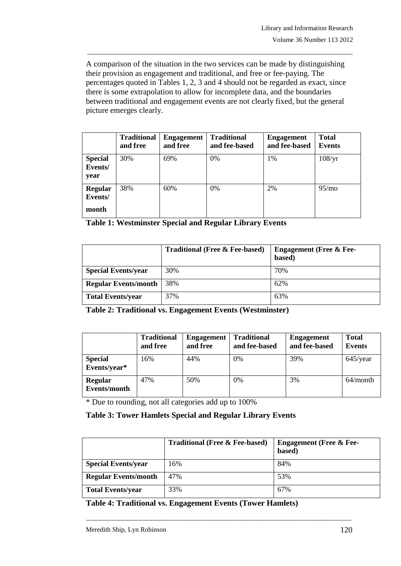A comparison of the situation in the two services can be made by distinguishing their provision as engagement and traditional, and free or fee-paying. The percentages quoted in Tables 1, 2, 3 and 4 should not be regarded as exact, since there is some extrapolation to allow for incomplete data, and the boundaries between traditional and engagement events are not clearly fixed, but the general picture emerges clearly.

\_\_\_\_\_\_\_\_\_\_\_\_\_\_\_\_\_\_\_\_\_\_\_\_\_\_\_\_\_\_\_\_\_\_\_\_\_\_\_\_\_\_\_\_\_\_\_\_\_\_\_\_\_\_\_\_\_\_\_\_\_\_\_\_\_\_\_\_\_\_\_\_\_\_\_\_\_\_\_

|                                   | <b>Traditional</b><br>and free | <b>Engagement</b><br>and free | <b>Traditional</b><br>and fee-based | <b>Engagement</b><br>and fee-based | <b>Total</b><br><b>Events</b> |
|-----------------------------------|--------------------------------|-------------------------------|-------------------------------------|------------------------------------|-------------------------------|
| <b>Special</b><br>Events/<br>year | 30%                            | 69%                           | 0%                                  | 1%                                 | 108/yr                        |
| Regular<br>Events/<br>month       | 38%                            | 60%                           | 0%                                  | 2%                                 | 95/mo                         |

**Table 1: Westminster Special and Regular Library Events**

|                             | <b>Traditional (Free &amp; Fee-based)</b> | <b>Engagement (Free &amp; Fee-</b><br>based) |
|-----------------------------|-------------------------------------------|----------------------------------------------|
| <b>Special Events/year</b>  | 30%                                       | 70%                                          |
| <b>Regular Events/month</b> | 38%                                       | 62%                                          |
| <b>Total Events/year</b>    | 37%                                       | 63%                                          |

**Table 2: Traditional vs. Engagement Events (Westminster)**

|                                | <b>Traditional</b><br>and free | <b>Engagement</b><br>and free | <b>Traditional</b><br>and fee-based | <b>Engagement</b><br>and fee-based | <b>Total</b><br><b>Events</b> |
|--------------------------------|--------------------------------|-------------------------------|-------------------------------------|------------------------------------|-------------------------------|
| <b>Special</b><br>Events/year* | 16%                            | 44%                           | 0%                                  | 39%                                | $645$ /year                   |
| Regular<br>Events/month        | 47%                            | 50%                           | 0%                                  | 3%                                 | $64/m$ onth                   |

\* Due to rounding, not all categories add up to 100%

## **Table 3: Tower Hamlets Special and Regular Library Events**

|                             | <b>Traditional (Free &amp; Fee-based)</b> | <b>Engagement (Free &amp; Fee-</b><br>based) |
|-----------------------------|-------------------------------------------|----------------------------------------------|
| <b>Special Events/year</b>  | 16%                                       | 84%                                          |
| <b>Regular Events/month</b> | 47%                                       | 53%                                          |
| <b>Total Events/year</b>    | 33%                                       | 67%                                          |

\_\_\_\_\_\_\_\_\_\_\_\_\_\_\_\_\_\_\_\_\_\_\_\_\_\_\_\_\_\_\_\_\_\_\_\_\_\_\_\_\_\_\_\_\_\_\_\_\_\_\_\_\_\_\_\_\_\_\_\_\_\_\_\_\_\_\_\_\_\_\_\_\_\_\_\_\_\_\_

**Table 4: Traditional vs. Engagement Events (Tower Hamlets)**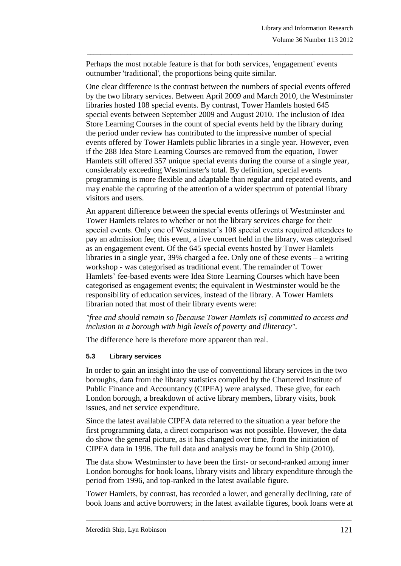Perhaps the most notable feature is that for both services, 'engagement' events outnumber 'traditional', the proportions being quite similar.

\_\_\_\_\_\_\_\_\_\_\_\_\_\_\_\_\_\_\_\_\_\_\_\_\_\_\_\_\_\_\_\_\_\_\_\_\_\_\_\_\_\_\_\_\_\_\_\_\_\_\_\_\_\_\_\_\_\_\_\_\_\_\_\_\_\_\_\_\_\_\_\_\_\_\_\_\_\_\_

One clear difference is the contrast between the numbers of special events offered by the two library services. Between April 2009 and March 2010, the Westminster libraries hosted 108 special events. By contrast, Tower Hamlets hosted 645 special events between September 2009 and August 2010. The inclusion of Idea Store Learning Courses in the count of special events held by the library during the period under review has contributed to the impressive number of special events offered by Tower Hamlets public libraries in a single year. However, even if the 288 Idea Store Learning Courses are removed from the equation, Tower Hamlets still offered 357 unique special events during the course of a single year, considerably exceeding Westminster's total. By definition, special events programming is more flexible and adaptable than regular and repeated events, and may enable the capturing of the attention of a wider spectrum of potential library visitors and users.

An apparent difference between the special events offerings of Westminster and Tower Hamlets relates to whether or not the library services charge for their special events. Only one of Westminster's 108 special events required attendees to pay an admission fee; this event, a live concert held in the library, was categorised as an engagement event. Of the 645 special events hosted by Tower Hamlets libraries in a single year, 39% charged a fee. Only one of these events – a writing workshop - was categorised as traditional event. The remainder of Tower Hamlets' fee-based events were Idea Store Learning Courses which have been categorised as engagement events; the equivalent in Westminster would be the responsibility of education services, instead of the library. A Tower Hamlets librarian noted that most of their library events were:

### *"free and should remain so [because Tower Hamlets is] committed to access and inclusion in a borough with high levels of poverty and illiteracy".*

The difference here is therefore more apparent than real.

### **5.3 Library services**

In order to gain an insight into the use of conventional library services in the two boroughs, data from the library statistics compiled by the Chartered Institute of Public Finance and Accountancy (CIPFA) were analysed. These give, for each London borough, a breakdown of active library members, library visits, book issues, and net service expenditure.

Since the latest available CIPFA data referred to the situation a year before the first programming data, a direct comparison was not possible. However, the data do show the general picture, as it has changed over time, from the initiation of CIPFA data in 1996. The full data and analysis may be found in Ship (2010).

The data show Westminster to have been the first- or second-ranked among inner London boroughs for book loans, library visits and library expenditure through the period from 1996, and top-ranked in the latest available figure.

Tower Hamlets, by contrast, has recorded a lower, and generally declining, rate of book loans and active borrowers; in the latest available figures, book loans were at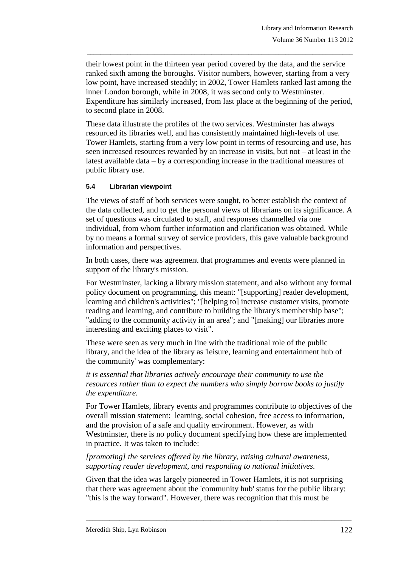their lowest point in the thirteen year period covered by the data, and the service ranked sixth among the boroughs. Visitor numbers, however, starting from a very low point, have increased steadily; in 2002, Tower Hamlets ranked last among the inner London borough, while in 2008, it was second only to Westminster. Expenditure has similarly increased, from last place at the beginning of the period, to second place in 2008.

\_\_\_\_\_\_\_\_\_\_\_\_\_\_\_\_\_\_\_\_\_\_\_\_\_\_\_\_\_\_\_\_\_\_\_\_\_\_\_\_\_\_\_\_\_\_\_\_\_\_\_\_\_\_\_\_\_\_\_\_\_\_\_\_\_\_\_\_\_\_\_\_\_\_\_\_\_\_\_

These data illustrate the profiles of the two services. Westminster has always resourced its libraries well, and has consistently maintained high-levels of use. Tower Hamlets, starting from a very low point in terms of resourcing and use, has seen increased resources rewarded by an increase in visits, but not – at least in the latest available data – by a corresponding increase in the traditional measures of public library use.

#### **5.4 Librarian viewpoint**

The views of staff of both services were sought, to better establish the context of the data collected, and to get the personal views of librarians on its significance. A set of questions was circulated to staff, and responses channelled via one individual, from whom further information and clarification was obtained. While by no means a formal survey of service providers, this gave valuable background information and perspectives.

In both cases, there was agreement that programmes and events were planned in support of the library's mission.

For Westminster, lacking a library mission statement, and also without any formal policy document on programming, this meant: "[supporting] reader development, learning and children's activities"; "[helping to] increase customer visits, promote reading and learning, and contribute to building the library's membership base"; "adding to the community activity in an area"; and "[making] our libraries more interesting and exciting places to visit".

These were seen as very much in line with the traditional role of the public library, and the idea of the library as 'leisure, learning and entertainment hub of the community' was complementary:

*it is essential that libraries actively encourage their community to use the resources rather than to expect the numbers who simply borrow books to justify the expenditure.*

For Tower Hamlets, library events and programmes contribute to objectives of the overall mission statement: learning, social cohesion, free access to information, and the provision of a safe and quality environment. However, as with Westminster, there is no policy document specifying how these are implemented in practice. It was taken to include:

#### *[promoting] the services offered by the library, raising cultural awareness, supporting reader development, and responding to national initiatives.*

Given that the idea was largely pioneered in Tower Hamlets, it is not surprising that there was agreement about the 'community hub' status for the public library: "this is the way forward". However, there was recognition that this must be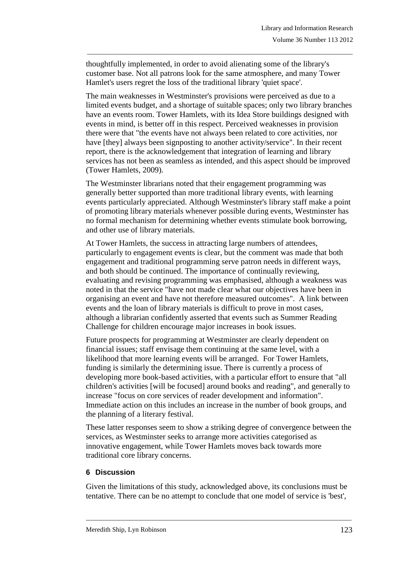thoughtfully implemented, in order to avoid alienating some of the library's customer base. Not all patrons look for the same atmosphere, and many Tower Hamlet's users regret the loss of the traditional library 'quiet space'.

\_\_\_\_\_\_\_\_\_\_\_\_\_\_\_\_\_\_\_\_\_\_\_\_\_\_\_\_\_\_\_\_\_\_\_\_\_\_\_\_\_\_\_\_\_\_\_\_\_\_\_\_\_\_\_\_\_\_\_\_\_\_\_\_\_\_\_\_\_\_\_\_\_\_\_\_\_\_\_

The main weaknesses in Westminster's provisions were perceived as due to a limited events budget, and a shortage of suitable spaces; only two library branches have an events room. Tower Hamlets, with its Idea Store buildings designed with events in mind, is better off in this respect. Perceived weaknesses in provision there were that "the events have not always been related to core activities, nor have [they] always been signposting to another activity/service". In their recent report, there is the acknowledgement that integration of learning and library services has not been as seamless as intended, and this aspect should be improved (Tower Hamlets, 2009).

The Westminster librarians noted that their engagement programming was generally better supported than more traditional library events, with learning events particularly appreciated. Although Westminster's library staff make a point of promoting library materials whenever possible during events, Westminster has no formal mechanism for determining whether events stimulate book borrowing, and other use of library materials.

At Tower Hamlets, the success in attracting large numbers of attendees, particularly to engagement events is clear, but the comment was made that both engagement and traditional programming serve patron needs in different ways, and both should be continued. The importance of continually reviewing, evaluating and revising programming was emphasised, although a weakness was noted in that the service "have not made clear what our objectives have been in organising an event and have not therefore measured outcomes". A link between events and the loan of library materials is difficult to prove in most cases, although a librarian confidently asserted that events such as Summer Reading Challenge for children encourage major increases in book issues.

Future prospects for programming at Westminster are clearly dependent on financial issues; staff envisage them continuing at the same level, with a likelihood that more learning events will be arranged. For Tower Hamlets, funding is similarly the determining issue. There is currently a process of developing more book-based activities, with a particular effort to ensure that "all children's activities [will be focused] around books and reading", and generally to increase "focus on core services of reader development and information". Immediate action on this includes an increase in the number of book groups, and the planning of a literary festival.

These latter responses seem to show a striking degree of convergence between the services, as Westminster seeks to arrange more activities categorised as innovative engagement, while Tower Hamlets moves back towards more traditional core library concerns.

### **6 Discussion**

Given the limitations of this study, acknowledged above, its conclusions must be tentative. There can be no attempt to conclude that one model of service is 'best',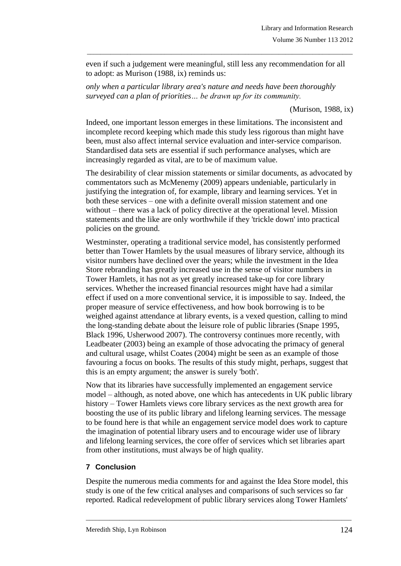even if such a judgement were meaningful, still less any recommendation for all to adopt: as Murison (1988, ix) reminds us:

\_\_\_\_\_\_\_\_\_\_\_\_\_\_\_\_\_\_\_\_\_\_\_\_\_\_\_\_\_\_\_\_\_\_\_\_\_\_\_\_\_\_\_\_\_\_\_\_\_\_\_\_\_\_\_\_\_\_\_\_\_\_\_\_\_\_\_\_\_\_\_\_\_\_\_\_\_\_\_

*only when a particular library area's nature and needs have been thoroughly surveyed can a plan of priorities… be drawn up for its community.*

(Murison, 1988, ix)

Indeed, one important lesson emerges in these limitations. The inconsistent and incomplete record keeping which made this study less rigorous than might have been, must also affect internal service evaluation and inter-service comparison. Standardised data sets are essential if such performance analyses, which are increasingly regarded as vital, are to be of maximum value.

The desirability of clear mission statements or similar documents, as advocated by commentators such as McMenemy (2009) appears undeniable, particularly in justifying the integration of, for example, library and learning services. Yet in both these services – one with a definite overall mission statement and one without – there was a lack of policy directive at the operational level. Mission statements and the like are only worthwhile if they 'trickle down' into practical policies on the ground.

Westminster, operating a traditional service model, has consistently performed better than Tower Hamlets by the usual measures of library service, although its visitor numbers have declined over the years; while the investment in the Idea Store rebranding has greatly increased use in the sense of visitor numbers in Tower Hamlets, it has not as yet greatly increased take-up for core library services. Whether the increased financial resources might have had a similar effect if used on a more conventional service, it is impossible to say. Indeed, the proper measure of service effectiveness, and how book borrowing is to be weighed against attendance at library events, is a vexed question, calling to mind the long-standing debate about the leisure role of public libraries (Snape 1995, Black 1996, Usherwood 2007). The controversy continues more recently, with Leadbeater (2003) being an example of those advocating the primacy of general and cultural usage, whilst Coates (2004) might be seen as an example of those favouring a focus on books. The results of this study might, perhaps, suggest that this is an empty argument; the answer is surely 'both'.

Now that its libraries have successfully implemented an engagement service model – although, as noted above, one which has antecedents in UK public library history – Tower Hamlets views core library services as the next growth area for boosting the use of its public library and lifelong learning services. The message to be found here is that while an engagement service model does work to capture the imagination of potential library users and to encourage wider use of library and lifelong learning services, the core offer of services which set libraries apart from other institutions, must always be of high quality.

## **7 Conclusion**

Despite the numerous media comments for and against the Idea Store model, this study is one of the few critical analyses and comparisons of such services so far reported. Radical redevelopment of public library services along Tower Hamlets'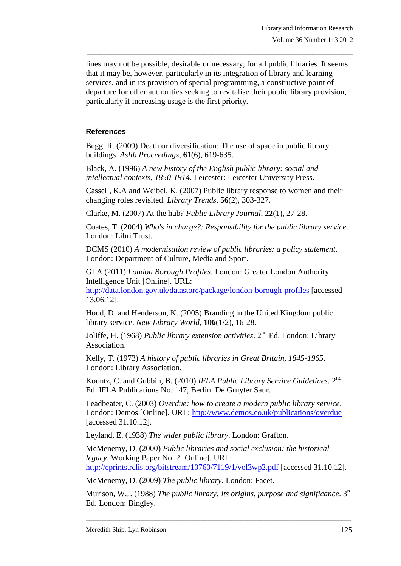lines may not be possible, desirable or necessary, for all public libraries. It seems that it may be, however, particularly in its integration of library and learning services, and in its provision of special programming, a constructive point of departure for other authorities seeking to revitalise their public library provision, particularly if increasing usage is the first priority.

\_\_\_\_\_\_\_\_\_\_\_\_\_\_\_\_\_\_\_\_\_\_\_\_\_\_\_\_\_\_\_\_\_\_\_\_\_\_\_\_\_\_\_\_\_\_\_\_\_\_\_\_\_\_\_\_\_\_\_\_\_\_\_\_\_\_\_\_\_\_\_\_\_\_\_\_\_\_\_

### **References**

Begg, R. (2009) Death or diversification: The use of space in public library buildings. *Aslib Proceedings*, **61**(6), 619-635.

Black, A. (1996) *A new history of the English public library: social and intellectual contexts, 1850-1914*. Leicester: Leicester University Press.

Cassell, K.A and Weibel, K. (2007) Public library response to women and their changing roles revisited. *Library Trends*, **56**(2), 303-327.

Clarke, M. (2007) At the hub? *Public Library Journal*, **22**(1), 27-28.

Coates, T. (2004) *Who's in charge?: Responsibility for the public library service*. London: Libri Trust.

DCMS (2010) *A modernisation review of public libraries: a policy statement*. London: Department of Culture, Media and Sport.

GLA (2011) *London Borough Profiles*. London: Greater London Authority Intelligence Unit [Online]. URL:

<http://data.london.gov.uk/datastore/package/london-borough-profiles> [accessed 13.06.12].

Hood, D. and Henderson, K. (2005) Branding in the United Kingdom public library service. *New Library World*, **106**(1/2), 16-28.

Joliffe, H. (1968) *Public library extension activities*. 2<sup>nd</sup> Ed. London: Library Association.

Kelly, T. (1973) *A history of public libraries in Great Britain, 1845-1965*. London: Library Association.

Koontz, C. and Gubbin, B. (2010) IFLA Public Library Service Guidelines. 2<sup>nd</sup> Ed. IFLA Publications No. 147, Berlin: De Gruyter Saur.

Leadbeater, C. (2003) *Overdue: how to create a modern public library service*. London: Demos [Online]. URL: <http://www.demos.co.uk/publications/overdue> [accessed 31.10.12].

Leyland, E. (1938) *The wider public library*. London: Grafton.

McMenemy, D. (2000) *Public libraries and social exclusion: the historical legacy*. Working Paper No. 2 [Online]. URL: <http://eprints.rclis.org/bitstream/10760/7119/1/vol3wp2.pdf> [accessed 31.10.12].

McMenemy, D. (2009) *The public library*. London: Facet.

Murison, W.J. (1988) *The public library: its origins, purpose and significance.* 3<sup>rd</sup> Ed. London: Bingley.